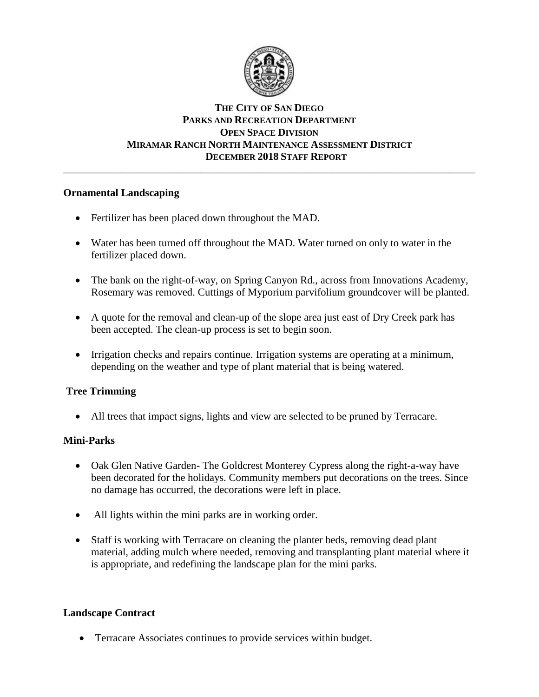

# **THE CITY OF SAN DIEGO PARKS AND RECREATION DEPARTMENT OPEN SPACE DIVISION MIRAMAR RANCH NORTH MAINTENANCE ASSESSMENT DISTRICT DECEMBER 2018 STAFF REPORT**

\_\_\_\_\_\_\_\_\_\_\_\_\_\_\_\_\_\_\_\_\_\_\_\_\_\_\_\_\_\_\_\_\_\_\_\_\_\_\_\_\_\_\_\_\_\_\_\_\_\_\_\_\_\_\_\_\_\_\_\_\_\_\_\_\_\_\_\_\_\_\_\_\_\_\_\_\_\_

# **Ornamental Landscaping**

- Fertilizer has been placed down throughout the MAD.
- Water has been turned off throughout the MAD. Water turned on only to water in the fertilizer placed down.
- The bank on the right-of-way, on Spring Canyon Rd., across from Innovations Academy, Rosemary was removed. Cuttings of Myporium parvifolium groundcover will be planted.
- A quote for the removal and clean-up of the slope area just east of Dry Creek park has been accepted. The clean-up process is set to begin soon.
- Irrigation checks and repairs continue. Irrigation systems are operating at a minimum, depending on the weather and type of plant material that is being watered.

# **Tree Trimming**

All trees that impact signs, lights and view are selected to be pruned by Terracare.

### **Mini-Parks**

- Oak Glen Native Garden-The Goldcrest Monterey Cypress along the right-a-way have been decorated for the holidays. Community members put decorations on the trees. Since no damage has occurred, the decorations were left in place.
- All lights within the mini parks are in working order.
- Staff is working with Terracare on cleaning the planter beds, removing dead plant material, adding mulch where needed, removing and transplanting plant material where it is appropriate, and redefining the landscape plan for the mini parks.

# **Landscape Contract**

• Terracare Associates continues to provide services within budget.